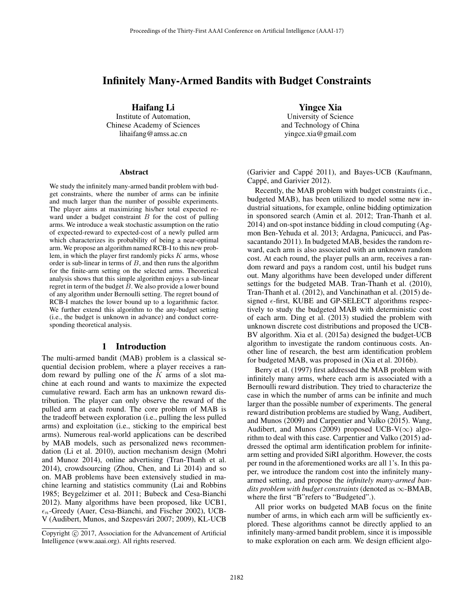## Infinitely Many-Armed Bandits with Budget Constraints

Haifang Li

Institute of Automation, Chinese Academy of Sciences lihaifang@amss.ac.cn

#### Abstract

We study the infinitely many-armed bandit problem with budget constraints, where the number of arms can be infinite and much larger than the number of possible experiments. The player aims at maximizing his/her total expected reward under a budget constraint  $B$  for the cost of pulling arms. We introduce a weak stochastic assumption on the ratio of expected-reward to expected-cost of a newly pulled arm which characterizes its probability of being a near-optimal arm. We propose an algorithm named RCB-I to this new problem, in which the player first randomly picks  $K$  arms, whose order is sub-linear in terms of  $B$ , and then runs the algorithm for the finite-arm setting on the selected arms. Theoretical analysis shows that this simple algorithm enjoys a sub-linear regret in term of the budget  $B$ . We also provide a lower bound of any algorithm under Bernoulli setting. The regret bound of RCB-I matches the lower bound up to a logarithmic factor. We further extend this algorithm to the any-budget setting (i.e., the budget is unknown in advance) and conduct corresponding theoretical analysis.

#### 1 Introduction

The multi-armed bandit (MAB) problem is a classical sequential decision problem, where a player receives a random reward by pulling one of the  $K$  arms of a slot machine at each round and wants to maximize the expected cumulative reward. Each arm has an unknown reward distribution. The player can only observe the reward of the pulled arm at each round. The core problem of MAB is the tradeoff between exploration (i.e., pulling the less pulled arms) and exploitation (i.e., sticking to the empirical best arms). Numerous real-world applications can be described by MAB models, such as personalized news recommendation (Li et al. 2010), auction mechanism design (Mohri and Munoz 2014), online advertising (Tran-Thanh et al. 2014), crowdsourcing (Zhou, Chen, and Li 2014) and so on. MAB problems have been extensively studied in machine learning and statistics community (Lai and Robbins 1985; Beygelzimer et al. 2011; Bubeck and Cesa-Bianchi 2012). Many algorithms have been proposed, like UCB1,  $\epsilon_n$ -Greedy (Auer, Cesa-Bianchi, and Fischer 2002), UCB-V (Audibert, Munos, and Szepesvári 2007; 2009), KL-UCB Yingce Xia

University of Science and Technology of China yingce.xia@gmail.com

(Garivier and Cappé 2011), and Bayes-UCB (Kaufmann, Cappé, and Garivier 2012).

Recently, the MAB problem with budget constraints (i.e., budgeted MAB), has been utilized to model some new industrial situations, for example, online bidding optimization in sponsored search (Amin et al. 2012; Tran-Thanh et al. 2014) and on-spot instance bidding in cloud computing (Agmon Ben-Yehuda et al. 2013; Ardagna, Panicucci, and Passacantando 2011). In budgeted MAB, besides the random reward, each arm is also associated with an unknown random cost. At each round, the player pulls an arm, receives a random reward and pays a random cost, until his budget runs out. Many algorithms have been developed under different settings for the budgeted MAB. Tran-Thanh et al. (2010), Tran-Thanh et al. (2012), and Vanchinathan et al. (2015) designed  $\epsilon$ -first, KUBE and GP-SELECT algorithms respectively to study the budgeted MAB with deterministic cost of each arm. Ding et al. (2013) studied the problem with unknown discrete cost distributions and proposed the UCB-BV algorithm. Xia et al. (2015a) designed the budget-UCB algorithm to investigate the random continuous costs. Another line of research, the best arm identification problem for budgeted MAB, was proposed in (Xia et al. 2016b).

Berry et al. (1997) first addressed the MAB problem with infinitely many arms, where each arm is associated with a Bernoulli reward distribution. They tried to characterize the case in which the number of arms can be infinite and much larger than the possible number of experiments. The general reward distribution problems are studied by Wang, Audibert, and Munos (2009) and Carpentier and Valko (2015). Wang, Audibert, and Munos (2009) proposed UCB-V( $\infty$ ) algorithm to deal with this case. Carpentier and Valko (2015) addressed the optimal arm identification problem for infinitearm setting and provided SiRI algorithm. However, the costs per round in the aforementioned works are all 1's. In this paper, we introduce the random cost into the infinitely manyarmed setting, and propose the *infinitely many-armed bandits problem with budget constraints* (denoted as ∞-BMAB, where the first "B"refers to "Budgeted".).

All prior works on budgeted MAB focus on the finite number of arms, in which each arm will be sufficiently explored. These algorithms cannot be directly applied to an infinitely many-armed bandit problem, since it is impossible to make exploration on each arm. We design efficient algo-

Copyright  $\odot$  2017, Association for the Advancement of Artificial Intelligence (www.aaai.org). All rights reserved.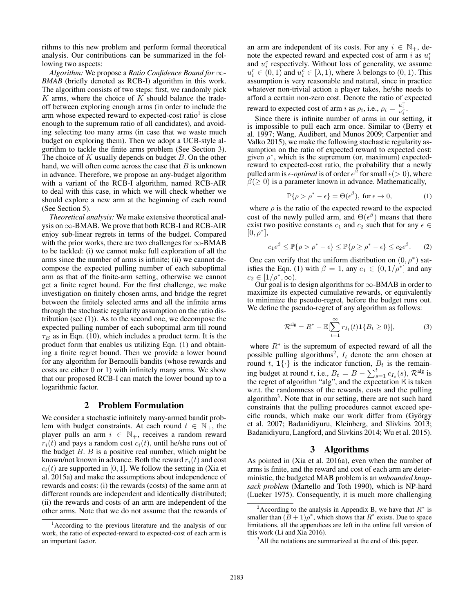rithms to this new problem and perform formal theoretical analysis. Our contributions can be summarized in the following two aspects:

*Algorithm:* We propose a *Ratio Confidence Bound for* ∞*- BMAB* (briefly denoted as RCB-I) algorithm in this work. The algorithm consists of two steps: first, we randomly pick  $K$  arms, where the choice of  $K$  should balance the tradeoff between exploring enough arms (in order to include the arm whose expected reward to expected-cost ratio<sup>1</sup> is close enough to the supremum ratio of all candidates), and avoiding selecting too many arms (in case that we waste much budget on exploring them). Then we adopt a UCB-style algorithm to tackle the finite arms problem (See Section 3). The choice of  $K$  usually depends on budget  $B$ . On the other hand, we will often come across the case that  $B$  is unknown in advance. Therefore, we propose an any-budget algorithm with a variant of the RCB-I algorithm, named RCB-AIR to deal with this case, in which we will check whether we should explore a new arm at the beginning of each round (See Section 5).

*Theoretical analysis:* We make extensive theoretical analysis on  $\infty$ -BMAB. We prove that both RCB-I and RCB-AIR enjoy sub-linear regrets in terms of the budget. Compared with the prior works, there are two challenges for  $\infty$ -BMAB to be tackled: (i) we cannot make full exploration of all the arms since the number of arms is infinite; (ii) we cannot decompose the expected pulling number of each suboptimal arm as that of the finite-arm setting, otherwise we cannot get a finite regret bound. For the first challenge, we make investigation on finitely chosen arms, and bridge the regret between the finitely selected arms and all the infinite arms through the stochastic regularity assumption on the ratio distribution (see (1)). As to the second one, we decompose the expected pulling number of each suboptimal arm till round  $\tau_B$  as in Eqn. (10), which includes a product term. It is the product form that enables us utilizing Eqn. (1) and obtaining a finite regret bound. Then we provide a lower bound for any algorithm for Bernoulli bandits (whose rewards and costs are either 0 or 1) with infinitely many arms. We show that our proposed RCB-I can match the lower bound up to a logarithmic factor.

## 2 Problem Formulation

We consider a stochastic infinitely many-armed bandit problem with budget constraints. At each round  $t \in \mathbb{N}_+$ , the player pulls an arm  $i \in \mathbb{N}_+$ , receives a random reward  $r_i(t)$  and pays a random cost  $c_i(t)$ , until he/she runs out of the budget  $B$ .  $B$  is a positive real number, which might be known/not known in advance. Both the reward  $r_i(t)$  and cost  $c_i(t)$  are supported in [0, 1]. We follow the setting in (Xia et al. 2015a) and make the assumptions about independence of rewards and costs: (i) the rewards (costs) of the same arm at different rounds are independent and identically distributed; (ii) the rewards and costs of an arm are independent of the other arms. Note that we do not assume that the rewards of

an arm are independent of its costs. For any  $i \in \mathbb{N}_+$ , denote the expected reward and expected cost of arm i as  $u_i^r$ and  $u_i^c$  respectively. Without loss of generality, we assume  $u_i^r \in (0,1)$  and  $u_i^c \in [\lambda, 1)$ , where  $\lambda$  belongs to  $(0,1)$ . This assumption is very reasonable and natural, since in practice assumption is very reasonable and natural, since in practice whatever non-trivial action a player takes, he/she needs to afford a certain non-zero cost. Denote the ratio of expected reward to expected cost of arm i as  $\rho_i$ , i.e.,  $\rho_i = \frac{u_i^r}{u_i^c}$ .

Since there is infinite number of arms in our setting, it is impossible to pull each arm once. Similar to (Berry et al. 1997; Wang, Audibert, and Munos 2009; Carpentier and Valko 2015), we make the following stochastic regularity assumption on the ratio of expected reward to expected cost: given  $\rho^*$ , which is the supremum (or, maximum) expectedreward to expected-cost ratio, the probability that a newly pulled arm is  $\epsilon$ -*optimal* is of order  $\epsilon^{\beta}$  for small  $\epsilon$ ( $>$  0), where  $\beta$ ( $>$  0) is a parameter known in advance. Mathematically.  $\beta(\geq 0)$  is a parameter known in advance. Mathematically,

$$
\mathbb{P}\{\rho > \rho^* - \epsilon\} = \Theta(\epsilon^{\beta}), \text{ for } \epsilon \to 0,
$$
 (1)

where  $\rho$  is the ratio of the expected reward to the expected cost of the newly pulled arm, and  $\Theta(\epsilon^{\beta})$  means that there exist two positive constants  $c_1$  and  $c_2$  such that for any  $\epsilon \in$ exist two positive constants  $c_1$  and  $c_2$  such that for any  $\epsilon \in$  $[0, \rho^*],$ 

$$
c_1 \epsilon^{\beta} \le \mathbb{P}\{\rho > \rho^* - \epsilon\} \le \mathbb{P}\{\rho \ge \rho^* - \epsilon\} \le c_2 \epsilon^{\beta}.
$$
 (2)

One can verify that the uniform distribution on  $(0, \rho^*)$  satisfies the Eqn. (1) with  $\beta = 1$ , any  $c_1 \in (0, 1/\rho^*]$  and any  $c_2 \in [1/\rho^*, \infty)$ .

Our goal is to design algorithms for  $\infty$ -BMAB in order to maximize its expected cumulative rewards, or equivalently to minimize the pseudo-regret, before the budget runs out. We define the pseudo-regret of any algorithm as follows:

$$
\mathcal{R}^{\mathrm{alg}} = R^* - \mathbb{E}[\sum_{t=1}^{\infty} r_{I_t}(t) \mathbf{1}\{B_t \ge 0\}],\tag{3}
$$

where  $R^*$  is the supremum of expected reward of all the possible pulling algorithms<sup>2</sup>,  $I_t$  denote the arm chosen at round t,  $\mathbf{1}\{\cdot\}$  is the indicator function,  $B_t$  is the remaining budget at round t, i.e.,  $B_t = B - \sum_{s=1}^t c_{I_s}(s)$ ,  $\mathcal{R}^{\text{alg}}$  is the regret of algorithm "algoritan the expectation  $\mathbb{R}$  is taken the regret of algorithm "alg", and the expectation  $E$  is taken w.r.t. the randomness of the rewards, costs and the pulling algorithm<sup>3</sup>. Note that in our setting, there are not such hard constraints that the pulling procedures cannot exceed specific rounds, which make our work differ from (György et al. 2007; Badanidiyuru, Kleinberg, and Slivkins 2013; Badanidiyuru, Langford, and Slivkins 2014; Wu et al. 2015).

## 3 Algorithms

As pointed in (Xia et al. 2016a), even when the number of arms is finite, and the reward and cost of each arm are deterministic, the budgeted MAB problem is an *unbounded knapsack problem* (Martello and Toth 1990), which is NP-hard (Lueker 1975). Consequently, it is much more challenging

<sup>&</sup>lt;sup>1</sup> According to the previous literature and the analysis of our work, the ratio of expected-reward to expected-cost of each arm is an important factor.

<sup>&</sup>lt;sup>2</sup> According to the analysis in Appendix B, we have that  $R^*$  is smaller than  $(B + 1)\rho^*$ , which shows that  $R^*$  exists. Due to space limitations, all the appendices are left in the online full version of this work (Li and Xia 2016).

<sup>&</sup>lt;sup>3</sup>All the notations are summarized at the end of this paper.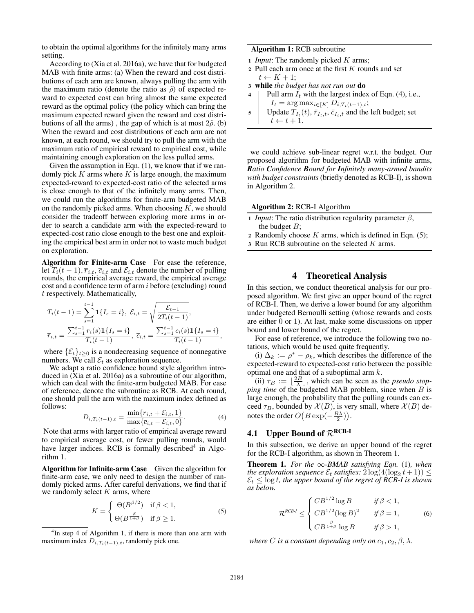to obtain the optimal algorithms for the infinitely many arms setting.

According to (Xia et al. 2016a), we have that for budgeted MAB with finite arms: (a) When the reward and cost distributions of each arm are known, always pulling the arm with the maximum ratio (denote the ratio as  $\tilde{\rho}$ ) of expected reward to expected cost can bring almost the same expected reward as the optimal policy (the policy which can bring the maximum expected reward given the reward and cost distributions of all the arms), the gap of which is at most  $2\tilde{\rho}$ . (b) When the reward and cost distributions of each arm are not known, at each round, we should try to pull the arm with the maximum ratio of empirical reward to empirical cost, while maintaining enough exploration on the less pulled arms.

Given the assumption in Eqn. (1), we know that if we randomly pick  $K$  arms where  $K$  is large enough, the maximum expected-reward to expected-cost ratio of the selected arms is close enough to that of the infinitely many arms. Then, we could run the algorithms for finite-arm budgeted MAB on the randomly picked arms. When choosing  $K$ , we should consider the tradeoff between exploring more arms in order to search a candidate arm with the expected-reward to expected-cost ratio close enough to the best one and exploiting the empirical best arm in order not to waste much budget on exploration.

Algorithm for Finite-arm Case For ease the reference, let  $T_i(t-1), \overline{r}_{i,t}, \overline{c}_{i,t}$  and  $\mathcal{E}_{i,t}$  denote the number of pulling rounds, the empirical average reward, the empirical average cost and a confidence term of arm i before (excluding) round t respectively. Mathematically,

$$
T_i(t-1) = \sum_{s=1}^{t-1} \mathbf{1}\{I_s = i\}, \ \mathcal{E}_{i,t} = \sqrt{\frac{\mathcal{E}_{t-1}}{2T_i(t-1)}},
$$

$$
\overline{r}_{i,t} = \frac{\sum_{s=1}^{t-1} r_i(s)\mathbf{1}\{I_s = i\}}{T_i(t-1)}, \ \overline{c}_{i,t} = \frac{\sum_{s=1}^{t-1} c_i(s)\mathbf{1}\{I_s = i\}}{T_i(t-1)},
$$

where  $\{\mathcal{E}_t\}_{t\geq 0}$  is a nondecreasing sequence of nonnegative<br>pumbers  $W_e$  call  $\mathcal{E}_e$  as exploration sequence numbers. We call  $\mathcal{E}_t$  as exploration sequence.

We adapt a ratio confidence bound style algorithm introduced in (Xia et al. 2016a) as a subroutine of our algorithm, which can deal with the finite-arm budgeted MAB. For ease of reference, denote the subroutine as RCB. At each round, one should pull the arm with the maximum index defined as follows:

$$
D_{i,T_i(t-1),t} = \frac{\min\{\bar{r}_{i,t} + \mathcal{E}_{i,t}, 1\}}{\max\{\bar{c}_{i,t} - \mathcal{E}_{i,t}, 0\}}.
$$
 (4)

Note that arms with larger ratio of empirical average reward to empirical average cost, or fewer pulling rounds, would have larger indices. RCB is formally described $4$  in Algorithm 1.

Algorithm for Infinite-arm Case Given the algorithm for finite-arm case, we only need to design the number of randomly picked arms. After careful derivations, we find that if we randomly select  $K$  arms, where

$$
K = \begin{cases} \Theta(B^{\beta/2}) & \text{if } \beta < 1, \\ \Theta(B^{\frac{\beta}{1+\beta}}) & \text{if } \beta \ge 1. \end{cases}
$$
 (5)

<sup>4</sup>In step 4 of Algorithm 1, if there is more than one arm with maximum index  $D_{i,T_i(t-1),t}$ , randomly pick one.

#### Algorithm 1: RCB subroutine

- <sup>1</sup> *Input*: The randomly picked K arms;
- 2 Pull each arm once at the first  $K$  rounds and set  $t \leftarrow K + 1$ ;
- <sup>3</sup> while *the budget has not run out* do
- 4 | Pull arm  $I_t$  with the largest index of Eqn. (4), i.e.,  $I_t = \arg \max_{i \in [K]} D_{i,T_i(t-1),t};$
- 5 Update  $T_{I_t}(t)$ ,  $\bar{r}_{I_t,t}$ ,  $\bar{c}_{I_t,t}$  and the left budget; set  $t \leftarrow t + 1.$

we could achieve sub-linear regret w.r.t. the budget. Our proposed algorithm for budgeted MAB with infinite arms, *Ratio Confidence Bound for Infinitely many-armed bandits with budget constraints* (briefly denoted as RCB-I), is shown in Algorithm 2.

Algorithm 2: RCB-I Algorithm

- 1 *Input*: The ratio distribution regularity parameter  $\beta$ , the budget  $B$ ;
- 2 Randomly choose  $K$  arms, which is defined in Eqn. (5);
- $3$  Run RCB subroutine on the selected  $K$  arms.

## 4 Theoretical Analysis

In this section, we conduct theoretical analysis for our proposed algorithm. We first give an upper bound of the regret of RCB-I. Then, we derive a lower bound for any algorithm under budgeted Bernoulli setting (whose rewards and costs are either 0 or 1). At last, make some discussions on upper bound and lower bound of the regret.

For ease of reference, we introduce the following two notations, which would be used quite frequently.

(i)  $\Delta_k := \rho^* - \rho_k$ , which describes the difference of the expected-reward to expected-cost ratio between the possible optimal one and that of a suboptimal arm  $k$ .

(ii)  $\tau_B := \lfloor \frac{2B}{\lambda} \rfloor$ , which can be seen as the *pseudo stop-*<br>*19 time* of the budgeted MAB problem, since when B is *ping time* of the budgeted MAB problem, since when B is large enough, the probability that the pulling rounds can exceed  $\tau_B$ , bounded by  $\mathcal{X}(B)$ , is very small, where  $\mathcal{X}(B)$  denotes the order  $O(B \exp(-\frac{B\lambda}{2}))$ .

# 4.1 Upper Bound of  $\mathcal{R}^{\text{RCB-I}}$

In this subsection, we derive an upper bound of the regret for the RCB-I algorithm, as shown in Theorem 1.

Theorem 1. For the  $\infty$ *-BMAB satisfying Eqn.* (1)*, when the exploration sequence*  $\mathcal{E}_t$  *satisfies:*  $2 \log(4(\log_2 t + 1)) \le$  $\mathcal{E}_t \leq \log t$ , the upper bound of the regret of RCB-I is shown *as below.*

$$
\mathcal{R}^{RCB-I} \leq \begin{cases} CB^{1/2} \log B & \text{if } \beta < 1, \\ CB^{1/2} (\log B)^2 & \text{if } \beta = 1, \\ CB^{\frac{\beta}{1+\beta}} \log B & \text{if } \beta > 1, \end{cases} \tag{6}
$$

*where C is a constant depending only on*  $c_1$ ,  $c_2$ ,  $\beta$ ,  $\lambda$ .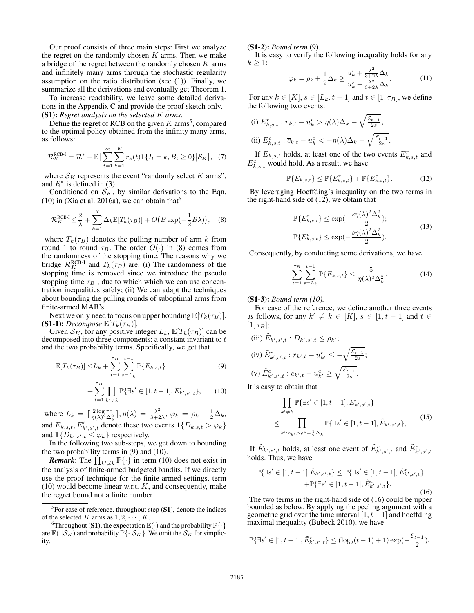Our proof consists of three main steps: First we analyze the regret on the randomly chosen  $K$  arms. Then we make a bridge of the regret between the randomly chosen  $K$  arms and infinitely many arms through the stochastic regularity assumption on the ratio distribution (see  $(1)$ ). Finally, we summarize all the derivations and eventually get Theorem 1.

To increase readability, we leave some detailed derivations in the Appendix C and provide the proof sketch only. (S1): *Regret analysis on the selected* K *arms.*

Define the regret of RCB on the given  $K$  arms<sup>5</sup>, compared to the optimal policy obtained from the infinity many arms, as follows:

$$
\mathcal{R}_K^{\text{RCB-I}} = \mathcal{R}^* - \mathbb{E}\big[\sum_{t=1}^{\infty} \sum_{k=1}^{K} r_k(t)\mathbf{1}\{I_t = k, B_t \ge 0\} \big| \mathcal{S}_K\big], \tag{7}
$$

where  $S_K$  represents the event "randomly select K arms", and  $R^*$  is defined in (3).

Conditioned on  $S_K$ , by similar derivations to the Eqn. (10) in (Xia et al. 2016a), we can obtain that  $6$ 

$$
\mathcal{R}_K^{\text{RCB-I}} \leq \frac{2}{\lambda} + \sum_{k=1}^K \Delta_k \mathbb{E}[T_k(\tau_B)] + O\big(B\exp(-\frac{1}{2}B\lambda)\big), \quad (8)
$$

where  $T_k(\tau_B)$  denotes the pulling number of arm k from round 1 to round  $\tau_B$ . The order  $O(\cdot)$  in (8) comes from the randomness of the stopping time. The reasons why we bridge  $\mathcal{R}_K^{\text{RCB-I}}$  and  $T_k(\tau_B)$  are: (i) The randomness of the stopping time is removed since we introduce the pseudomness stopping time is removed since we introduce the pseudo stopping time  $\tau_B$ , due to which which we can use concentration inequalities safely; (ii) We can adapt the techniques about bounding the pulling rounds of suboptimal arms from finite-armed MAB's.

Next we only need to focus on upper bounding  $\mathbb{E}[T_k(\tau_B)]$ .<br>(S1-1): *Decompose*  $\mathbb{E}[T_k(\tau_B)]$ .

Given  $S_K$ , for any positive integer  $L_k$ ,  $\mathbb{E}[T_k(\tau_B)]$  can be decomposed into three components: a constant invariant to t and the two probability terms. Specifically, we get that

$$
\mathbb{E}[T_k(\tau_B)] \leq L_k + \sum_{t=1}^{\tau_B} \sum_{s=L_k}^{t-1} \mathbb{P}\{E_{k,s,t}\}\tag{9}
$$

$$
+\sum_{t=1}^{\tau_B} \prod_{k' \neq k} \mathbb{P}\{\exists s' \in [1, t-1], E'_{k',s',t}\},\qquad(10)
$$

where  $L_k = \left[\frac{2\log \tau_B}{\eta(\lambda)^2 \Delta_k^2}\right], \eta(\lambda) = \frac{\lambda^2}{3+2\lambda}, \varphi_k = \rho_k + \frac{1}{2}\Delta_k,$ and  $E_{k,s,t}, E'_{k',s',t}$  denote these two events  $\mathbf{1}\{D_{k,s,t} > \varphi_k\}$ and  $\mathbf{1} \{D_{k',s',t} \leq \varphi_k\}$  respectively.

In the following two sub-steps, we get down to bounding the two probability terms in (9) and (10).

**Remark:** The  $\prod_{k' \neq k} \mathbb{P}\{\cdot\}$  in term (10) does not exist in the analysis of finite-armed budgeted bandits. If we directly use the proof technique for the finite-armed settings, term  $(10)$  would become linear w.r.t.  $K$ , and consequently, make the regret bound not a finite number.

#### (S1-2): *Bound term* (9)*.*

It is easy to verify the following inequality holds for any  $k \geq 1$ :

$$
\varphi_k = \rho_k + \frac{1}{2}\Delta_k \ge \frac{u_k^r + \frac{\lambda^2}{3+2\lambda}\Delta_k}{u_k^c - \frac{\lambda^2}{3+2\lambda}\Delta_k}.\tag{11}
$$

For any  $k \in [K], s \in [L_k, t-1]$  and  $t \in [1, \tau_B]$ , we define the following two events:

(i) 
$$
E_{k,s,t}^r : \overline{r}_{k,t} - u_k^r > \eta(\lambda)\Delta_k - \sqrt{\frac{\mathcal{E}_{t-1}}{2s}};
$$
  
\n(ii)  $E_{k,s,t}^c : \overline{c}_{k,t} - u_k^c < -\eta(\lambda)\Delta_k + \sqrt{\frac{\mathcal{E}_{t-1}}{2s}}.$ 

If  $E_{k,s,t}$  holds, at least one of the two events  $E_{k,s,t}^r$  and  $E_{k,s,t}^c$  would hold. As a result, we have

$$
\mathbb{P}\{E_{k,s,t}\} \le \mathbb{P}\{E_{k,s,t}^r\} + \mathbb{P}\{E_{k,s,t}^c\}.
$$
 (12)

By leveraging Hoeffding's inequality on the two terms in the right-hand side of (12), we obtain that

$$
\mathbb{P}\{E_{k,s,t}^r\} \le \exp(-\frac{s\eta(\lambda)^2 \Delta_k^2}{2});
$$
  

$$
\mathbb{P}\{E_{k,s,t}^c\} \le \exp(-\frac{s\eta(\lambda)^2 \Delta_k^2}{2}).
$$
 (13)

Consequently, by conducting some derivations, we have

$$
\sum_{t=1}^{\tau_B} \sum_{s=L_k}^{t-1} \mathbb{P}\{E_{k,s,t}\} \le \frac{5}{\eta(\lambda)^2 \Delta_k^2}.
$$
 (14)

(S1-3): *Bound term (10).*

For ease of the reference, we define another three events as follows, for any  $k' \neq k \in [K], s \in [1, t-1]$  and  $t \in$  $[1, \tau_B]$ :

(iii) 
$$
E_{k',s',t} : D_{k',s',t} \le \rho_{k'}
$$
;  
\n(iv)  $\tilde{E}_{k',s',t}^r : \overline{r}_{k',t} - u_{k'}^r \le -\sqrt{\frac{\varepsilon_{t-1}}{2s}}$ ;  
\n(v)  $\tilde{E}_{k',s',t}^c : \overline{c}_{k',t} - u_{k'}^c \ge \sqrt{\frac{\varepsilon_{t-1}}{2s}}$ .

It is easy to obtain that

$$
\prod_{k' \neq k} \mathbb{P}\{\exists s' \in [1, t-1], E'_{k',s',t}\}
$$
\n
$$
\leq \prod_{k': \rho_{k'} > \rho^* - \frac{1}{2} \Delta_k} \mathbb{P}\{\exists s' \in [1, t-1], \tilde{E}_{k',s',t}\},
$$
\n(15)

If  $\tilde{E}_{k',s',t}$  holds, at least one event of  $\tilde{E}_{k',s',t}^r$  and  $\tilde{E}_{k',s',t}^c$ holds. Thus, we have

$$
\mathbb{P}\{\exists s' \in [1, t-1], \tilde{E}_{k',s',t}\} \le \mathbb{P}\{\exists s' \in [1, t-1], \tilde{E}_{k',s',t}^r\} + \mathbb{P}\{\exists s' \in [1, t-1], \tilde{E}_{k',s',t}^c\}.
$$
\n(16)

The two terms in the right-hand side of (16) could be upper bounded as below. By applying the peeling argument with a geometric grid over the time interval  $[1, t-1]$  and hoeffding maximal inequality (Bubeck 2010), we have

$$
\mathbb{P}\{\exists s' \in [1, t-1], \tilde{E}_{k',s',t}^r\} \leq (\log_2(t-1)+1)\exp(-\frac{\mathcal{E}_{t-1}}{2}).
$$

 ${}^{5}$ For ease of reference, throughout step (S1), denote the indices of the selected K arms as  $1, 2, \cdots, K$ .

<sup>&</sup>lt;sup>6</sup>Throughout (S1), the expectation  $\mathbb{E}(\cdot)$  and the probability  $\mathbb{P}\{\cdot\}$ are  $\mathbb{E}(\cdot|\mathcal{S}_K)$  and probability  $\mathbb{P}\{\cdot|\mathcal{S}_K\}$ . We omit the  $\mathcal{S}_K$  for simplicity.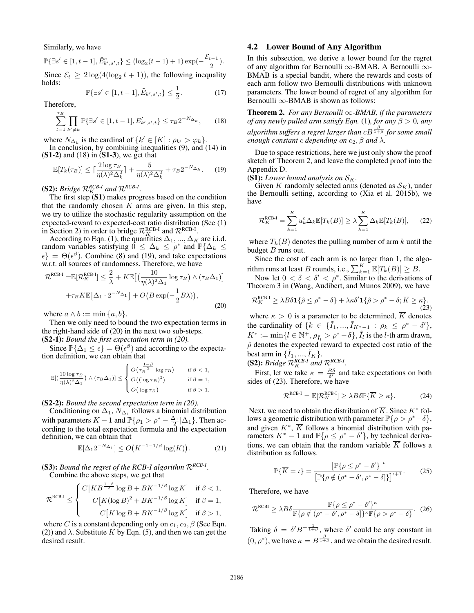Similarly, we have

 $\mathbb{P}\{\exists s' \in [1, t-1], \tilde{E}_{k',s',t}^c\} \le (\log_2(t-1)+1) \exp(-\frac{\mathcal{E}t-1}{2}).$ <br>Since  $\mathcal{E} > 2 \log(A(\log t+1))$ , the following inequality

Since  $\mathcal{E}_t \geq 2 \log(4(\log_2 t + 1))$ , the following inequality holds:

$$
\mathbb{P}\{\exists s' \in [1, t-1], \tilde{E}_{k', s', t}\} \le \frac{1}{2}.\tag{17}
$$

Therefore,

$$
\sum_{t=1}^{\tau_B} \prod_{k' \neq k} \mathbb{P} \{ \exists s' \in [1, t-1], E'_{k', s', t} \} \le \tau_B 2^{-N_{\Delta_k}}, \qquad (18)
$$

where  $N_{\Delta_k}$  is the cardinal of  $\{k' \in [K] : \rho_{k'} > \varphi_k\}$ .<br>In conclusion, by combining inequalities (9), and (14) in  $(S1-2)$  and  $(18)$  in  $(S1-3)$ , we get that

$$
\mathbb{E}[T_k(\tau_B)] \le \lceil \frac{2 \log \tau_B}{\eta(\lambda)^2 \Delta_k^2} \rceil + \frac{5}{\eta(\lambda)^2 \Delta_k^2} + \tau_B 2^{-N_{\Delta_k}}. \tag{19}
$$

**(S2):** *Bridge*  $\mathcal{R}_K^{RCB-I}$  *and*  $\mathcal{R}^{RCB-I}$ *.* 

The first step  $(S1)$  makes progress based on the condition that the randomly chosen  $K$  arms are given. In this step, we try to utilize the stochastic regularity assumption on the expected-reward to expected-cost ratio distribution (See (1) in Section 2) in order to bridge  $\mathcal{R}_K^{\text{RCB-I}}$  and  $\mathcal{R}^{\text{RCB-I}}$ .

Section 2) in order to bridge  $\mathcal{R}_K^{\text{RCB-I}}$  and  $\mathcal{R}^{\text{RGB-I}}$ .<br>According to Eqn. (1), the quantities  $\Delta_1, ..., \Delta_K$  are i.i.d.<br>adom variables satisfying  $0 \leq \Delta_k \leq o^*$  and  $\mathbb{P}\{\Delta_k \leq$ random variables satisfying  $0 \leq \Delta_k \leq \rho^*$  and  $\mathbb{P}\{\Delta_k \leq \epsilon\} - \Theta(\epsilon^{\beta})$ . Combine (8) and (19) and take expectations  $\epsilon$ } =  $\Theta(\epsilon^{\beta})$ . Combine (8) and (19), and take expectations w.r.t. all sources of randomness. Therefore, we have w.r.t. all sources of randomness. Therefore, we have

$$
\mathcal{R}^{\text{RCB-I}} = \mathbb{E}[\mathcal{R}_K^{\text{RCB-I}}] \le \frac{2}{\lambda} + K \mathbb{E}\left[\left(\frac{10}{\eta(\lambda)^2 \Delta_1} \log \tau_B\right) \wedge (\tau_B \Delta_1)\right] + \tau_B K \mathbb{E}\left[\Delta_1 \cdot 2^{-N_{\Delta_1}}\right] + O\left(B \exp\left(-\frac{1}{2}B\lambda\right)\right),\tag{20}
$$

where  $a \wedge b := \min\{a, b\}.$ 

Then we only need to bound the two expectation terms in the right-hand side of (20) in the next two sub-steps. (S2-1): *Bound the first expectation term in (20).*

Since  $\mathbb{P}\{\Delta_1 \leq \epsilon\} = \Theta(\epsilon^{\beta})$  and according to the expectantial definition, we can obtain that tion definition, we can obtain that

$$
\mathbb{E}[(\frac{10\log\tau_B}{\eta(\lambda)^2\Delta_1})\wedge(\tau_B\Delta_1)] \leq \begin{cases} O\big(\tau_B^{-\frac{1-\beta}{2}}\log\tau_B\big) & \text{if } \beta < 1, \\ O\big((\log\tau_B)^2\big) & \text{if } \beta = 1, \\ O\big(\log\tau_B\big) & \text{if } \beta > 1. \end{cases}
$$

#### (S2-2): *Bound the second expectation term in (20).*

Conditioning on  $\Delta_1$ ,  $N_{\Delta_1}$  follows a binomial distribution with parameters  $K - 1$  and  $\mathbb{P}\{\rho_1 > \rho^* - \frac{\Delta_1}{2} | \Delta_1\}$ . Then according to the total expectation formula and the expectation definition, we can obtain that

$$
\mathbb{E}[\Delta_1 2^{-N_{\Delta_1}}] \le O\big(K^{-1-1/\beta} \log(K)\big). \tag{21}
$$

(S3): *Bound the regret of the RCB-I algorithm* <sup>R</sup>*RCB-I*. Combine the above steps, we get that

$$
\mathcal{R}^{\text{RCB-I}} \leq \begin{cases} C\left[KB^{\frac{1-\beta}{2}}\log B + BK^{-1/\beta}\log K\right] & \text{if } \beta < 1, \\ & C\left[K(\log B)^2 + BK^{-1/\beta}\log K\right] & \text{if } \beta = 1, \\ & C\left[K\log B + BK^{-1/\beta}\log K\right] & \text{if } \beta > 1, \end{cases}
$$

where C is a constant depending only on  $c_1$ ,  $c_2$ ,  $\beta$  (See Eqn.<br>(2)) and ). Substitute K by Eqn. (5), and then we can get the (2)) and  $\lambda$ . Substitute K by Eqn. (5), and then we can get the desired result.

#### 4.2 Lower Bound of Any Algorithm

In this subsection, we derive a lower bound for the regret of any algorithm for Bernoulli  $\infty$ -BMAB. A Bernoulli  $\infty$ -BMAB is a special bandit, where the rewards and costs of each arm follow two Bernoulli distributions with unknown parameters. The lower bound of regret of any algorithm for Bernoulli  $\infty$ -BMAB is shown as follows:

Theorem 2. *For any Bernoulli* ∞*-BMAB, if the parameters of any newly pulled arm satisfy Eqn.* (1)*, for any*  $\beta > 0$ *, any* algorithm suffers a regret larger than  $cB^{\frac{\beta}{1+\beta}}$  for some small *enough constant* <sup>c</sup> *depending on* <sup>c</sup>2, β *and* <sup>λ</sup>*.*

Due to space restrictions, here we just only show the proof sketch of Theorem 2, and leave the completed proof into the Appendix D.

(S1): *Lower bound analysis on*  $S_K$ .

Given K randomly selected arms (denoted as  $\mathcal{S}_K$ ), under the Bernoulli setting, according to (Xia et al. 2015b), we have

$$
\mathcal{R}_K^{\text{RCB-I}} = \sum_{k=1}^K u_k^c \Delta_k \mathbb{E}[T_k(B)] \ge \lambda \sum_{k=1}^K \Delta_k \mathbb{E}[T_k(B)], \quad (22)
$$

where  $T_k(B)$  denotes the pulling number of arm k until the budget  $B$  runs out.

Since the cost of each arm is no larger than 1, the algorithm runs at least B rounds, i.e.,  $\sum_{k=1}^{K} \mathbb{E}[T_k(B)] \ge B$ .<br>Now let  $0 < \delta < \delta' < \delta^*$ . Similar to the derivation

Now let  $0 < \delta < \delta' < \rho^*$ . Similar to the derivations of Theorem 3 in (Wang, Audibert, and Munos 2009), we have

$$
\mathcal{R}_K^{\text{RCB-I}} \ge \lambda B \delta \mathbf{1} \{ \hat{\rho} \le \rho^* - \delta \} + \lambda \kappa \delta' \mathbf{1} \{ \hat{\rho} > \rho^* - \delta; \overline{K} \ge \kappa \}.
$$
\n(23)

where  $\kappa > 0$  is a parameter to be determined,  $\overline{K}$  denotes the cardinality of  $\{k \in \{I_1, ..., I_{K^*-1} : \rho_k \leq \rho^* - \delta'\},$ <br> $K^* := \min_{k} \{l \in \mathbb{N}^+, \alpha_k > \rho^* - \delta\}$ ,  $\tilde{l}_k$  is the *l* th arm drawn  $K^* := \min\{l \in \mathbb{N}^+, \rho_{\tilde{l}_l} > \rho^* - \delta\}, \tilde{l}_l$  is the *l*-th arm drawn,<br>  $\hat{\rho}$  denotes the expected reward to expected cost ratio of the  $\hat{\rho}$  denotes the expected reward to expected cost ratio of the best arm in  $\{\tilde{I}_1, ..., \tilde{I}_K\}$ .

**(S2):** Bridge 
$$
\mathcal{R}_K^{RCB-I}
$$
 and  $\mathcal{R}^{RCB-I}$ .

First, let we take  $\kappa = \frac{B\delta}{\delta'}$  and take expectations on both les of (23). Therefore, we have sides of (23). Therefore, we have

$$
\mathcal{R}^{\text{RCB-I}} = \mathbb{E}[\mathcal{R}_K^{\text{RCB-I}}] \ge \lambda B \delta \mathbb{P} \{ \overline{K} \ge \kappa \}.
$$
 (24)

Next, we need to obtain the distribution of  $\overline{K}$ . Since  $K^*$  follows a geometric distribution with parameter  $\mathbb{P}\{\rho > \rho^* - \delta\},\$ and given  $K^*, \overline{K}$  follows a binomial distribution with parameters  $K^* - 1$  and  $\mathbb{P}\{\rho \leq \rho^* - \delta'\}$ , by technical deriva-<br>tions, we can obtain that the random variable  $\overline{K}$  follows a tions, we can obtain that the random variable  $\overline{K}$  follows a distribution as follows.

$$
\mathbb{P}\{\overline{K}=\iota\}=\frac{\left[\mathbb{P}\{\rho\leq\rho^*-\delta'\}\right]^{\iota}}{\left[\mathbb{P}\{\rho\notin(\rho^*-\delta',\rho^*-\delta]\}\right]^{\iota+1}}.\tag{25}
$$

Therefore, we have

$$
\mathcal{R}^{\text{RCBI}} \ge \lambda B \delta \frac{\mathbb{P}\{\rho \le \rho^* - \delta'\}^{\kappa}}{\mathbb{P}\{\rho \notin (\rho^* - \delta', \rho^* - \delta]\}^{\kappa} \mathbb{P}\{\rho > \rho^* - \delta\}}.
$$
 (26)

Taking  $\delta = \delta' B^{-\frac{1}{1+\beta}}$ , where  $\delta'$  could be any constant in  $(0, \rho^*)$ , we have  $\kappa = B^{\frac{\beta}{1+\beta}}$ , and we obtain the desired result.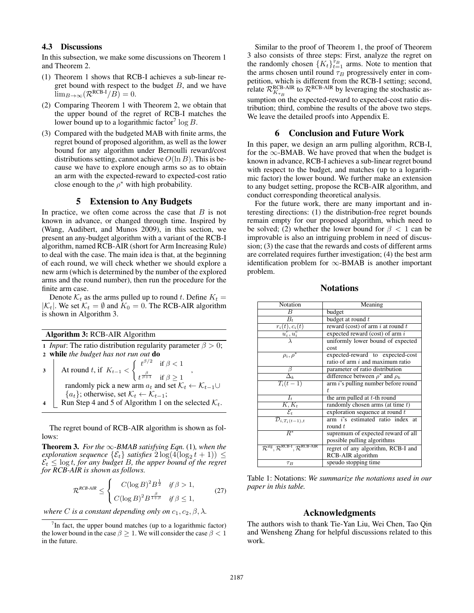## 4.3 Discussions

In this subsection, we make some discussions on Theorem 1 and Theorem 2.

- (1) Theorem 1 shows that RCB-I achieves a sub-linear regret bound with respect to the budget  $B$ , and we have  $\lim_{B\to\infty}(\mathcal{R}^{\text{RCB-I}}/B)=0.$
- (2) Comparing Theorem 1 with Theorem 2, we obtain that the upper bound of the regret of RCB-I matches the lower bound up to a logarithmic factor<sup>7</sup> log B.
- (3) Compared with the budgeted MAB with finite arms, the regret bound of proposed algorithm, as well as the lower bound for any algorithm under Bernoulli reward/cost distributions setting, cannot achieve  $O(\ln B)$ . This is because we have to explore enough arms so as to obtain an arm with the expected-reward to expected-cost ratio close enough to the  $\rho^*$  with high probability.

#### 5 Extension to Any Budgets

In practice, we often come across the case that  $B$  is not known in advance, or changed through time. Inspired by (Wang, Audibert, and Munos 2009), in this section, we present an any-budget algorithm with a variant of the RCB-I algorithm, named RCB-AIR (short for Arm Increasing Rule) to deal with the case. The main idea is that, at the beginning of each round, we will check whether we should explore a new arm (which is determined by the number of the explored arms and the round number), then run the procedure for the finite arm case.

Denote  $\mathcal{K}_t$  as the arms pulled up to round t. Define  $K_t =$  $|K_t|$ . We set  $K_t = \emptyset$  and  $K_0 = 0$ . The RCB-AIR algorithm is shown in Algorithm 3.

## Algorithm 3: RCB-AIR Algorithm

| 1 <i>Input</i> : The ratio distribution regularity parameter $\beta > 0$ ;                                                                       |  |  |
|--------------------------------------------------------------------------------------------------------------------------------------------------|--|--|
| 2 while the budget has not run out do                                                                                                            |  |  |
| 3 At round t, if $K_{t-1} < \begin{cases} t^{\beta/2} & \text{if } \beta < 1 \\ t^{\frac{\beta}{\beta+1}} & \text{if } \beta \geq 1 \end{cases}$ |  |  |
| randomly pick a new arm $a_t$ and set $\mathcal{K}_t \leftarrow \mathcal{K}_{t-1} \cup$                                                          |  |  |
| ${a_t}$ ; otherwise, set $\mathcal{K}_t \leftarrow \mathcal{K}_{t-1}$ ;                                                                          |  |  |
| Run Step 4 and 5 of Algorithm 1 on the selected $K_t$ .                                                                                          |  |  |

The regret bound of RCB-AIR algorithm is shown as follows:

**Theorem 3.** *For the*  $\infty$ *-BMAB satisfying Eqn.* (1)*, when the exploration sequence*  $\{\mathcal{E}_t\}$  *satisfies*  $2\log(4(\log_2 t + 1)) \le$  $\mathcal{E}_t \leq \log t$ , for any budget B, the upper bound of the regret *for RCB-AIR is shown as follows.*

$$
\mathcal{R}^{RCB-AIR} \leq \begin{cases} C(\log B)^2 B^{\frac{1}{2}} & \text{if } \beta > 1, \\ C(\log B)^2 B^{\frac{\beta}{1+\beta}} & \text{if } \beta \le 1, \end{cases} \tag{27}
$$

*where C is a constant depending only on*  $c_1$ ,  $c_2$ ,  $\beta$ ,  $\lambda$ .

Similar to the proof of Theorem 1, the proof of Theorem 3 also consists of three steps: First, analyze the regret on the randomly chosen  $\{K_t\}_{t=1}^{\tau_B}$  arms. Note to mention that the arms chosen until round  $\tau_D$  progressively enter in comthe arms chosen until round  $\tau_B$  progressively enter in competition, which is different from the RCB-I setting; second, relate  $\mathcal{R}_{K_{\tau_B}}^{\text{RCB-AIR}}$  to  $\mathcal{R}^{\text{RCB-AIR}}$  by leveraging the stochastic assumption on the expected-reward to expected-cost ratio distribution; third, combine the results of the above two steps. We leave the detailed proofs into Appendix E.

#### 6 Conclusion and Future Work

In this paper, we design an arm pulling algorithm, RCB-I, for the  $\infty$ -BMAB. We have proved that when the budget is known in advance, RCB-I achieves a sub-linear regret bound with respect to the budget, and matches (up to a logarithmic factor) the lower bound. We further make an extension to any budget setting, propose the RCB-AIR algorithm, and conduct corresponding theoretical analysis.

For the future work, there are many important and interesting directions: (1) the distribution-free regret bounds remain empty for our proposed algorithm, which need to be solved; (2) whether the lower bound for  $\beta < 1$  can be improvable is also an intriguing problem in need of discussion; (3) the case that the rewards and costs of different arms are correlated requires further investigation; (4) the best arm identification problem for  $\infty$ -BMAB is another important problem.

| Notation                                                              | Meaning                                  |
|-----------------------------------------------------------------------|------------------------------------------|
| $\overline{B}$                                                        | budget                                   |
| $B_t$                                                                 | budget at round t                        |
| $\frac{r_i(t),c_i(t)}{u_i^r,u_i^c}$                                   | reward (cost) of arm $i$ at round $t$    |
|                                                                       | expected reward (cost) of arm $i$        |
|                                                                       | uniformly lower bound of expected        |
|                                                                       | cost                                     |
| $\rho_i, \rho^*$                                                      | expected-reward to expected-cost         |
|                                                                       | ratio of arm $i$ and maximum ratio       |
|                                                                       | parameter of ratio distribution          |
| $\Delta_k$                                                            | difference between $\rho^*$ and $\rho_k$ |
| $T_i(t-1)$                                                            | arm i's pulling number before round      |
|                                                                       | t.                                       |
| $I_{t}$                                                               | the arm pulled at $t$ -th round          |
| $\overline{K,K_t}$                                                    | randomly chosen arms (at time $t$ )      |
| $\overline{\mathcal{E}}_t$                                            | exploration sequence at round t          |
| $\overline{\mathcal{D}_{i,T_i(t-1)},t}$                               | arm i's estimated ratio index at         |
|                                                                       | round $t$                                |
| $R^*$                                                                 | supremum of expected reward of all       |
|                                                                       | possible pulling algorithms              |
| $\mathcal{R}^{alg}$ , $\mathcal{R}^{RCB-I}$ , $\mathcal{R}^{RCB-AIR}$ | regret of any algorithm, RCB-I and       |
|                                                                       | RCB-AIR algorithm                        |
| $\tau_B$                                                              | speudo stopping time                     |

Notations

Table 1: Notations: *We summarize the notations used in our paper in this table.*

## Acknowledgments

The authors wish to thank Tie-Yan Liu, Wei Chen, Tao Qin and Wensheng Zhang for helpful discussions related to this work.

 $7$ In fact, the upper bound matches (up to a logarithmic factor) the lower bound in the case  $\beta \geq 1$ . We will consider the case  $\beta < 1$ in the future.